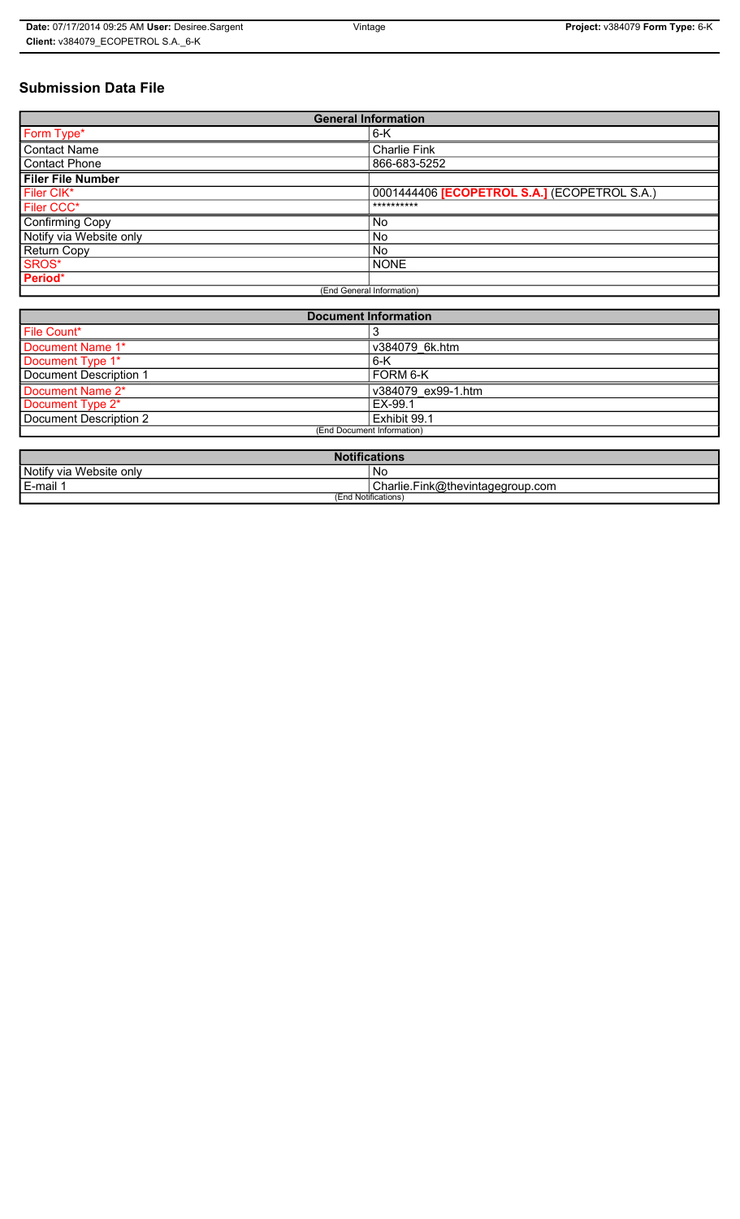# **Submission Data File**

| <b>General Information</b> |                                                     |
|----------------------------|-----------------------------------------------------|
| Form Type*                 | $6-K$                                               |
| <b>Contact Name</b>        | <b>Charlie Fink</b>                                 |
| <b>Contact Phone</b>       | 866-683-5252                                        |
| <b>Filer File Number</b>   |                                                     |
| Filer CIK*                 | 0001444406 <b>[ECOPETROL S.A.]</b> (ECOPETROL S.A.) |
| Filer CCC*                 | **********                                          |
| <b>Confirming Copy</b>     | No.                                                 |
| Notify via Website only    | <b>No</b>                                           |
| Return Copy                | No.                                                 |
| SROS*                      | <b>NONE</b>                                         |
| Period*                    |                                                     |
| (End General Information)  |                                                     |

| <b>Document Information</b> |                    |
|-----------------------------|--------------------|
| File Count*                 |                    |
| Document Name 1*            | v384079 6k.htm     |
| Document Type 1*            | $6-K$              |
| Document Description 1      | <b>FORM 6-K</b>    |
| Document Name 2*            | v384079 ex99-1.htm |
| Document Type 2*            | EX-99.1            |
| Document Description 2      | Exhibit 99.1       |
| (End Document Information)  |                    |
|                             |                    |

| <b>Notifications</b>    |                                        |
|-------------------------|----------------------------------------|
| Notify via Website only | No                                     |
| E-mail                  | Charlie.F<br>.Fink@thevintagegroup.com |
| (End Notifications)     |                                        |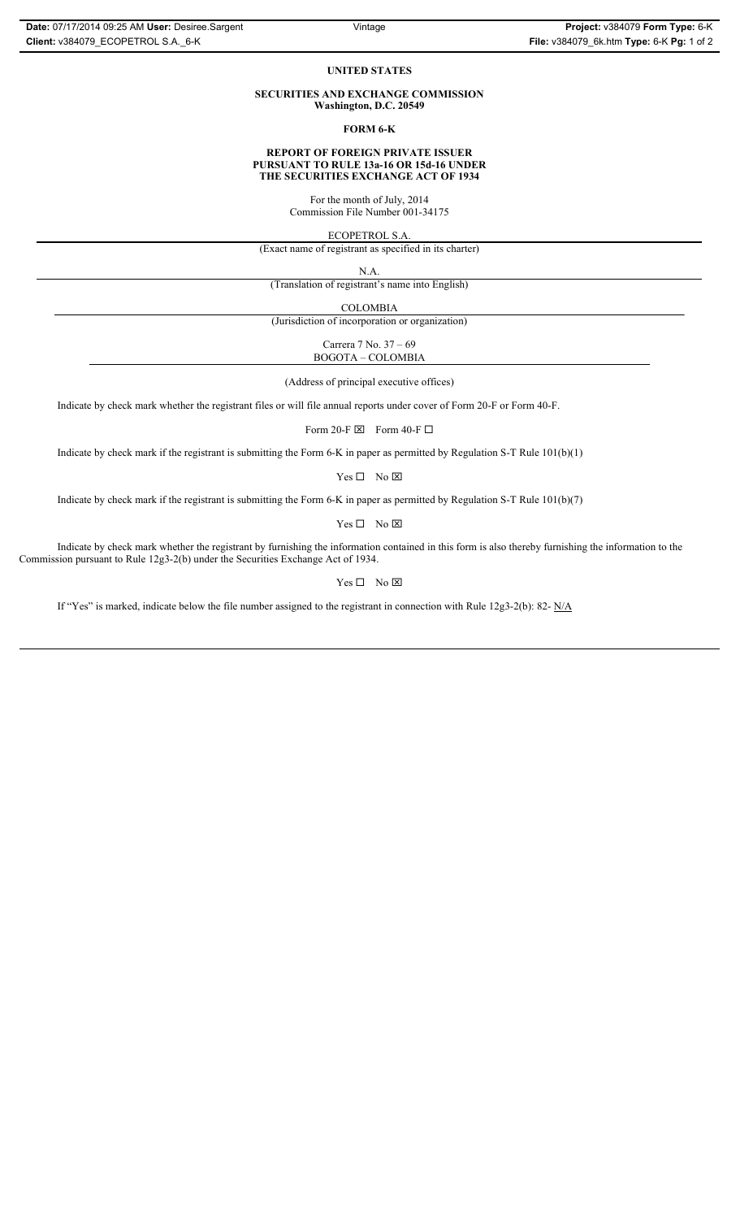### **UNITED STATES**

#### **SECURITIES AND EXCHANGE COMMISSION Washington, D.C. 20549**

#### **FORM 6-K**

### **REPORT OF FOREIGN PRIVATE ISSUER PURSUANT TO RULE 13a-16 OR 15d-16 UNDER THE SECURITIES EXCHANGE ACT OF 1934**

For the month of July, 2014 Commission File Number 001-34175

ECOPETROL S.A.

(Exact name of registrant as specified in its charter)

N.A.

(Translation of registrant's name into English)

COLOMBIA

(Jurisdiction of incorporation or organization)

Carrera 7 No. 37 – 69 BOGOTA – COLOMBIA

(Address of principal executive offices)

Indicate by check mark whether the registrant files or will file annual reports under cover of Form 20-F or Form 40-F.

Form 20-F $\boxtimes$  Form 40-F $\square$ 

Indicate by check mark if the registrant is submitting the Form 6-K in paper as permitted by Regulation S-T Rule 101(b)(1)

 $Yes \Box No \boxtimes$ 

Indicate by check mark if the registrant is submitting the Form 6-K in paper as permitted by Regulation S-T Rule 101(b)(7)

 $Yes \Box No \boxtimes$ 

Indicate by check mark whether the registrant by furnishing the information contained in this form is also thereby furnishing the information to the Commission pursuant to Rule 12g3-2(b) under the Securities Exchange Act of 1934.

#### $Yes \Box No \boxtimes$

If "Yes" is marked, indicate below the file number assigned to the registrant in connection with Rule 12g3-2(b): 82- N/A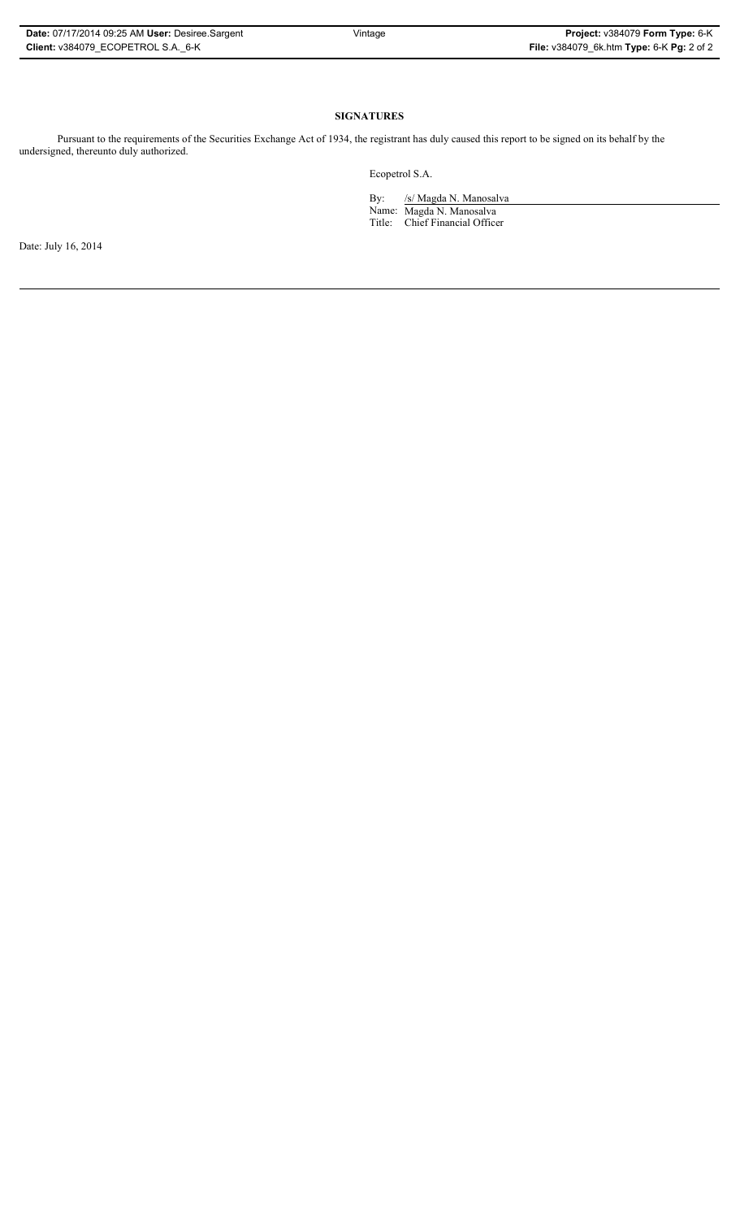# **SIGNATURES**

Pursuant to the requirements of the Securities Exchange Act of 1934, the registrant has duly caused this report to be signed on its behalf by the undersigned, thereunto duly authorized.

Ecopetrol S.A.

By: /s/ Magda N. Manosalva Name: Magda N. Manosalva Title: Chief Financial Officer

Date: July 16, 2014